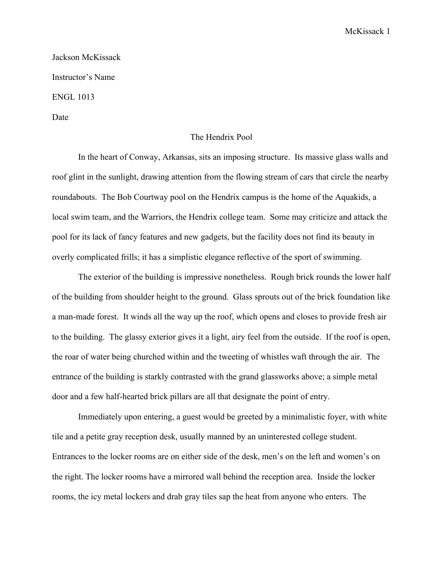## McKissack 1

Jackson McKissack Instructor's Name ENGL 1013

Date

## The Hendrix Pool

In the heart of Conway, Arkansas, sits an imposing structure. Its massive glass walls and roof glint in the sunlight, drawing attention from the flowing stream of cars that circle the nearby roundabouts. The Bob Courtway pool on the Hendrix campus is the home of the Aquakids, a local swim team, and the Warriors, the Hendrix college team. Some may criticize and attack the pool for its lack of fancy features and new gadgets, but the facility does not find its beauty in overly complicated frills; it has a simplistic elegance reflective of the sport of swimming.

The exterior of the building is impressive nonetheless. Rough brick rounds the lower half of the building from shoulder height to the ground. Glass sprouts out of the brick foundation like a man-made forest. It winds all the way up the roof, which opens and closes to provide fresh air to the building. The glassy exterior gives it a light, airy feel from the outside. If the roof is open, the roar of water being churched within and the tweeting of whistles waft through the air. The entrance of the building is starkly contrasted with the grand glassworks above; a simple metal door and a few half-hearted brick pillars are all that designate the point of entry.

Immediately upon entering, a guest would be greeted by a minimalistic foyer, with white tile and a petite gray reception desk, usually manned by an uninterested college student. Entrances to the locker rooms are on either side of the desk, men's on the left and women's on the right. The locker rooms have a mirrored wall behind the reception area. Inside the locker rooms, the icy metal lockers and drab gray tiles sap the heat from anyone who enters. The